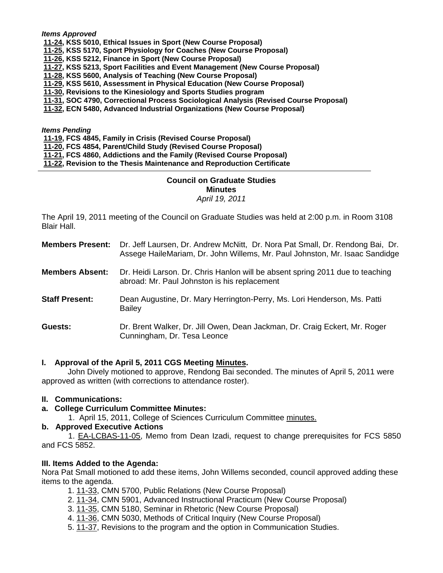*Items Approved* 

- **[11-24, K](http://castle.eiu.edu/~eiucgs/currentagendaitems/agenda11-24.pdf)SS 5010, Ethical Issues in Sport (New Course Proposal)**
- **[11-25, K](http://castle.eiu.edu/~eiucgs/currentagendaitems/agenda11-25.pdf)SS 5170, Sport Physiology for Coaches (New Course Proposal)**
- **[11-26, K](http://castle.eiu.edu/~eiucgs/currentagendaitems/agenda11-26.pdf)SS 5212, Finance in Sport (New Course Proposal)**
- **[11-27, K](http://castle.eiu.edu/~eiucgs/currentagendaitems/agenda11-27.pdf)SS 5213, Sport Facilities and Event Management (New Course Proposal)**
- **[11-28,](http://castle.eiu.edu/~eiucgs/currentagendaitems/agenda11-28.pdf) KSS 5600, Analysis of Teaching (New Course Proposal)**
- **[11-29, K](http://castle.eiu.edu/~eiucgs/currentagendaitems/agenda11-29.pdf)SS 5610, Assessment in Physical Education (New Course Proposal)**
- **[11-30, Re](http://castle.eiu.edu/~eiucgs/currentagendaitems/agenda11-30.pdf)visions to the Kinesiology and Sports Studies program**
- **[11-31, S](http://castle.eiu.edu/~eiucgs/currentagendaitems/agenda11-31.pdf)OC 4790, Correctional Process Sociological Analysis (Revised Course Proposal)**
- **[11-32, E](http://castle.eiu.edu/~eiucgs/currentagendaitems/agenda11-32.pdf)CN 5480, Advanced Industrial Organizations (New Course Proposal)**

*Items Pending*

- **[11-19,](http://castle.eiu.edu/~eiucgs/currentagendaitems/agenda11-19.pdf) FCS 4845, Family in Crisis (Revised Course Proposal)**
- **[11-20, F](http://castle.eiu.edu/~eiucgs/currentagendaitems/agenda11-20.pdf)CS 4854, Parent/Child Study (Revised Course Proposal)**
- **[11-21, F](http://castle.eiu.edu/~eiucgs/currentagendaitems/agenda11-21.pdf)CS 4860, Addictions and the Family (Revised Course Proposal)**
- **[11-22,](http://castle.eiu.edu/~eiucgs/currentagendaitems/agenda11-22.pdf) Revision to the Thesis Maintenance and Reproduction Certificate**

# **Council on Graduate Studies Minutes**

# *April 19, 2011*

The April 19, 2011 meeting of the Council on Graduate Studies was held at 2:00 p.m. in Room 3108 Blair Hall.

| <b>Members Present:</b> Dr. Jeff Laursen, Dr. Andrew McNitt, Dr. Nora Pat Small, Dr. Rendong Bai, Dr. |
|-------------------------------------------------------------------------------------------------------|
| Assege HaileMariam, Dr. John Willems, Mr. Paul Johnston, Mr. Isaac Sandidge                           |

- **Members Absent:** Dr. Heidi Larson. Dr. Chris Hanlon will be absent spring 2011 due to teaching abroad: Mr. Paul Johnston is his replacement
- **Staff Present:** Dean Augustine, Dr. Mary Herrington-Perry, Ms. Lori Henderson, Ms. Patti Bailey
- **Guests:** Dr. Brent Walker, Dr. Jill Owen, Dean Jackman, Dr. Craig Eckert, Mr. Roger Cunningham, Dr. Tesa Leonce

### **I. Approval of the April 5, 2011 CGS Meeting [Minutes.](http://castle.eiu.edu/~eiucgs/currentminutes/Minutes4-5-11.pdf)**

 John Dively motioned to approve, Rendong Bai seconded. The minutes of April 5, 2011 were approved as written (with corrections to attendance roster).

### **II. Communications:**

- **a. College Curriculum Committee Minutes:** 
	- 1. April 15, 2011, College of Sciences Curriculum Commit[tee minutes.](http://castle.eiu.edu/~eiucgs/currentagendaitems/COSMin4-15-11.pdf)

## **b. Approved Executive Actions**

 1. [EA-LCBAS-11-05, M](http://castle.eiu.edu/~eiucgs/exec-actions/EA-LCBAS-11-05.pdf)emo from Dean Izadi, request to change prerequisites for FCS 5850 and FCS 5852.

### **III. Items Added to the Agenda:**

Nora Pat Small motioned to add these items, John Willems seconded, council approved adding these items to the agenda.

- [1. 11-33,](http://castle.eiu.edu/~eiucgs/currentagendaitems/agenda11-33.pdf) CMN 5700, Public Relations (New Course Proposal)
- 2[. 11-34, C](http://castle.eiu.edu/~eiucgs/currentagendaitems/agenda11-34.pdf)MN 5901, Advanced Instructional Practicum (New Course Proposal)
- 3. [11-35,](http://castle.eiu.edu/~eiucgs/currentagendaitems/agenda11-35.pdf) CMN 5180, Seminar in Rhetoric (New Course Proposal)
- 4. [11-36,](http://castle.eiu.edu/~eiucgs/currentagendaitems/agenda11-36.pdf) CMN 5030, Methods of Critical Inquiry (New Course Proposal)
- 5. [11-37, R](http://castle.eiu.edu/~eiucgs/currentagendaitems/agenda11-37.pdf)evisions to the program and the option in Communication Studies.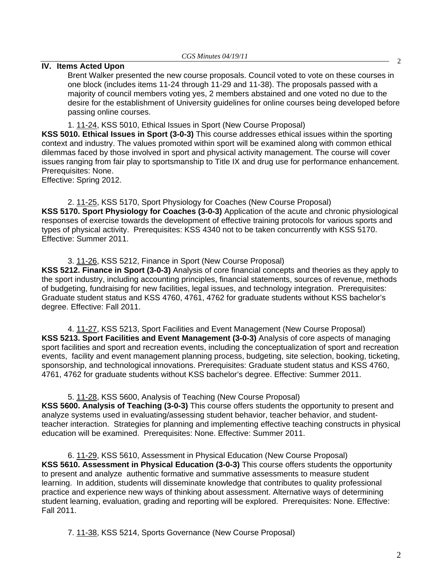# **IV.** Items Acted Upon 2

Brent Walker presented the new course proposals. Council voted to vote on these courses in one block (includes items 11-24 through 11-29 and 11-38). The proposals passed with a majority of council members voting yes, 2 members abstained and one voted no due to the desire for the establishment of University guidelines for online courses being developed before passing online courses.

[1. 11-24, K](http://castle.eiu.edu/~eiucgs/currentagendaitems/agenda11-24.pdf)SS 5010, Ethical Issues in Sport (New Course Proposal)

**KSS 5010. Ethical Issues in Sport (3-0-3)** This course addresses ethical issues within the sporting context and industry. The values promoted within sport will be examined along with common ethical dilemmas faced by those involved in sport and physical activity management. The course will cover issues ranging from fair play to sportsmanship to Title IX and drug use for performance enhancement. Prerequisites: None.

Effective: Spring 2012.

 2. [11-25, K](http://castle.eiu.edu/~eiucgs/currentagendaitems/agenda11-25.pdf)SS 5170, Sport Physiology for Coaches (New Course Proposal) **KSS 5170. Sport Physiology for Coaches (3-0-3)** Application of the acute and chronic physiological responses of exercise towards the development of effective training protocols for various sports and types of physical activity. Prerequisites: KSS 4340 not to be taken concurrently with KSS 5170. Effective: Summer 2011.

[3. 11-26,](http://castle.eiu.edu/~eiucgs/currentagendaitems/agenda11-26.pdf) KSS 5212, Finance in Sport (New Course Proposal)

**KSS 5212. Finance in Sport (3-0-3)** Analysis of core financial concepts and theories as they apply to the sport industry, including accounting principles, financial statements, sources of revenue, methods of budgeting, fundraising for new facilities, legal issues, and technology integration. Prerequisites: Graduate student status and KSS 4760, 4761, 4762 for graduate students without KSS bachelor's degree. Effective: Fall 2011.

 [4. 11-27,](http://castle.eiu.edu/~eiucgs/currentagendaitems/agenda11-27.pdf) KSS 5213, Sport Facilities and Event Management (New Course Proposal) **KSS 5213. Sport Facilities and Event Management (3-0-3)** Analysis of core aspects of managing sport facilities and sport and recreation events, including the conceptualization of sport and recreation events, facility and event management planning process, budgeting, site selection, booking, ticketing, sponsorship, and technological innovations. Prerequisites: Graduate student status and KSS 4760, 4761, 4762 for graduate students without KSS bachelor's degree. Effective: Summer 2011.

 [5. 11-28, K](http://castle.eiu.edu/~eiucgs/currentagendaitems/agenda11-28.pdf)SS 5600, Analysis of Teaching (New Course Proposal) **KSS 5600. Analysis of Teaching (3-0-3)** This course offers students the opportunity to present and analyze systems used in evaluating/assessing student behavior, teacher behavior, and studentteacher interaction. Strategies for planning and implementing effective teaching constructs in physical education will be examined. Prerequisites: None. Effective: Summer 2011.

 6[. 11-29, K](http://castle.eiu.edu/~eiucgs/currentagendaitems/agenda11-29.pdf)SS 5610, Assessment in Physical Education (New Course Proposal) **KSS 5610. Assessment in Physical Education (3-0-3)** This course offers students the opportunity to present and analyze authentic formative and summative assessments to measure student learning. In addition, students will disseminate knowledge that contributes to quality professional practice and experience new ways of thinking about assessment. Alternative ways of determining student learning, evaluation, grading and reporting will be explored. Prerequisites: None. Effective: Fall 2011.

7. [11-38,](http://castle.eiu.edu/~eiucgs/currentagendaitems/agenda11-38.pdf) KSS 5214, Sports Governance (New Course Proposal)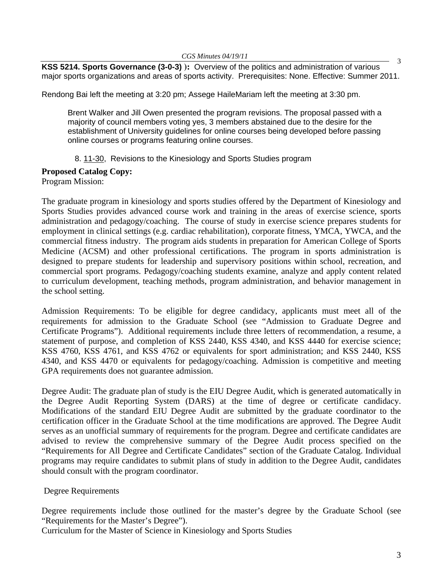**KSS 5214. Sports Governance (3-0-3) ):** Overview of the politics and administration of various major sports organizations and areas of sports activity. Prerequisites: None. Effective: Summer 2011.

Rendong Bai left the meeting at 3:20 pm; Assege HaileMariam left the meeting at 3:30 pm.

Brent Walker and Jill Owen presented the program revisions. The proposal passed with a majority of council members voting yes, 3 members abstained due to the desire for the establishment of University guidelines for online courses being developed before passing online courses or programs featuring online courses.

# 8. [11-30,](http://castle.eiu.edu/~eiucgs/currentagendaitems/agenda11-30.pdf) Revisions to the Kinesiology and Sports Studies program

# **Proposed Catalog Copy:**

Program Mission:

The graduate program in kinesiology and sports studies offered by the Department of Kinesiology and Sports Studies provides advanced course work and training in the areas of exercise science, sports administration and pedagogy/coaching. The course of study in exercise science prepares students for employment in clinical settings (e.g. cardiac rehabilitation), corporate fitness, YMCA, YWCA, and the commercial fitness industry. The program aids students in preparation for American College of Sports Medicine (ACSM) and other professional certifications. The program in sports administration is designed to prepare students for leadership and supervisory positions within school, recreation, and commercial sport programs. Pedagogy/coaching students examine, analyze and apply content related to curriculum development, teaching methods, program administration, and behavior management in the school setting.

Admission Requirements: To be eligible for degree candidacy, applicants must meet all of the requirements for admission to the Graduate School (see "Admission to Graduate Degree and Certificate Programs"). Additional requirements include three letters of recommendation, a resume, a statement of purpose, and completion of KSS 2440, KSS 4340, and KSS 4440 for exercise science; KSS 4760, KSS 4761, and KSS 4762 or equivalents for sport administration; and KSS 2440, KSS 4340, and KSS 4470 or equivalents for pedagogy/coaching. Admission is competitive and meeting GPA requirements does not guarantee admission.

Degree Audit: The graduate plan of study is the EIU Degree Audit, which is generated automatically in the Degree Audit Reporting System (DARS) at the time of degree or certificate candidacy. Modifications of the standard EIU Degree Audit are submitted by the graduate coordinator to the certification officer in the Graduate School at the time modifications are approved. The Degree Audit serves as an unofficial summary of requirements for the program. Degree and certificate candidates are advised to review the comprehensive summary of the Degree Audit process specified on the "Requirements for All Degree and Certificate Candidates" section of the Graduate Catalog. Individual programs may require candidates to submit plans of study in addition to the Degree Audit, candidates should consult with the program coordinator.

# Degree Requirements

Degree requirements include those outlined for the master's degree by the Graduate School (see "Requirements for the Master's Degree").

Curriculum for the Master of Science in Kinesiology and Sports Studies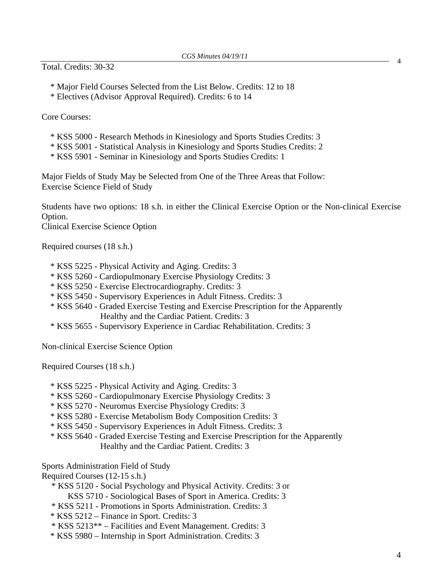Total. Credits: 30-32

- \* Major Field Courses Selected from the List Below. Credits: 12 to 18
- \* Electives (Advisor Approval Required). Credits: 6 to 14

Core Courses:

- \* KSS 5000 Research Methods in Kinesiology and Sports Studies Credits: 3
- \* KSS 5001 Statistical Analysis in Kinesiology and Sports Studies Credits: 2
- \* KSS 5901 Seminar in Kinesiology and Sports Studies Credits: 1

Major Fields of Study May be Selected from One of the Three Areas that Follow: Exercise Science Field of Study

Students have two options: 18 s.h. in either the Clinical Exercise Option or the Non-clinical Exercise Option.

Clinical Exercise Science Option

Required courses (18 s.h.)

- \* KSS 5225 Physical Activity and Aging. Credits: 3
- \* KSS 5260 Cardiopulmonary Exercise Physiology Credits: 3
- \* KSS 5250 Exercise Electrocardiography. Credits: 3
- \* KSS 5450 Supervisory Experiences in Adult Fitness. Credits: 3
- \* KSS 5640 Graded Exercise Testing and Exercise Prescription for the Apparently Healthy and the Cardiac Patient. Credits: 3
- \* KSS 5655 Supervisory Experience in Cardiac Rehabilitation. Credits: 3

Non-clinical Exercise Science Option

Required Courses (18 s.h.)

- \* KSS 5225 Physical Activity and Aging. Credits: 3
- \* KSS 5260 Cardiopulmonary Exercise Physiology Credits: 3
- \* KSS 5270 Neuromus Exercise Physiology Credits: 3
- \* KSS 5280 Exercise Metabolism Body Composition Credits: 3
- \* KSS 5450 Supervisory Experiences in Adult Fitness. Credits: 3
- \* KSS 5640 Graded Exercise Testing and Exercise Prescription for the Apparently Healthy and the Cardiac Patient. Credits: 3

Sports Administration Field of Study

- Required Courses (12-15 s.h.)
	- \* KSS 5120 Social Psychology and Physical Activity. Credits: 3 or KSS 5710 - Sociological Bases of Sport in America. Credits: 3
	- \* KSS 5211 Promotions in Sports Administration. Credits: 3
	- \* KSS 5212 Finance in Sport. Credits: 3
	- \* KSS 5213\*\* Facilities and Event Management. Credits: 3
	- \* KSS 5980 Internship in Sport Administration. Credits: 3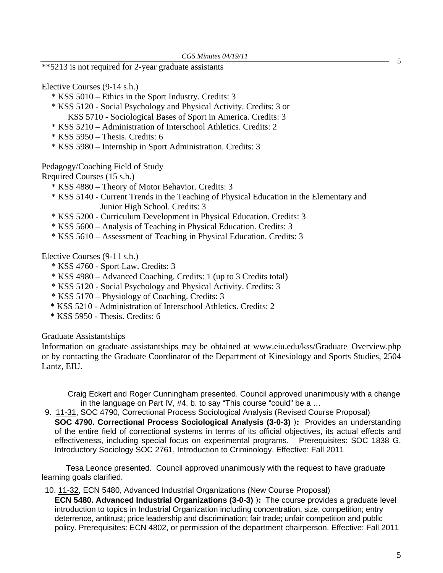\*\*5213 is not required for 2-year graduate assistants

Elective Courses (9-14 s.h.)

- \* KSS 5010 Ethics in the Sport Industry. Credits: 3
- \* KSS 5120 Social Psychology and Physical Activity. Credits: 3 or KSS 5710 - Sociological Bases of Sport in America. Credits: 3
- \* KSS 5210 Administration of Interschool Athletics. Credits: 2
- $*$  KSS 5950 Thesis. Credits: 6
- \* KSS 5980 Internship in Sport Administration. Credits: 3

Pedagogy/Coaching Field of Study

Required Courses (15 s.h.)

- \* KSS 4880 Theory of Motor Behavior. Credits: 3
- \* KSS 5140 Current Trends in the Teaching of Physical Education in the Elementary and Junior High School. Credits: 3
- \* KSS 5200 Curriculum Development in Physical Education. Credits: 3
- \* KSS 5600 Analysis of Teaching in Physical Education. Credits: 3
- \* KSS 5610 Assessment of Teaching in Physical Education. Credits: 3

Elective Courses (9-11 s.h.)

- \* KSS 4760 Sport Law. Credits: 3
- \* KSS 4980 Advanced Coaching. Credits: 1 (up to 3 Credits total)
- \* KSS 5120 Social Psychology and Physical Activity. Credits: 3
- \* KSS 5170 Physiology of Coaching. Credits: 3
- \* KSS 5210 Administration of Interschool Athletics. Credits: 2
- \* KSS 5950 Thesis. Credits: 6

Graduate Assistantships

Information on graduate assistantships may be obtained at www.eiu.edu/kss/Graduate\_Overview.php or by contacting the Graduate Coordinator of the Department of Kinesiology and Sports Studies, 2504 Lantz, EIU.

Craig Eckert and Roger Cunningham presented. Council approved unanimously with a change in the language on Part IV, #4. b. to say "This course "could" be a …

 9. [11-31, S](http://castle.eiu.edu/~eiucgs/currentagendaitems/agenda11-31.pdf)OC 4790, Correctional Process Sociological Analysis (Revised Course Proposal) **SOC 4790. Correctional Process Sociological Analysis (3-0-3) ):** Provides an understanding of the entire field of correctional systems in terms of its official objectives, its actual effects and effectiveness, including special focus on experimental programs. Prerequisites: SOC 1838 G, Introductory Sociology SOC 2761, Introduction to Criminology. Effective: Fall 2011

 Tesa Leonce presented. Council approved unanimously with the request to have graduate learning goals clarified.

10. [11-32, E](http://castle.eiu.edu/~eiucgs/currentagendaitems/agenda11-32.pdf)CN 5480, Advanced Industrial Organizations (New Course Proposal)

**ECN 5480. Advanced Industrial Organizations (3-0-3) ):** The course provides a graduate level introduction to topics in Industrial Organization including concentration, size, competition; entry deterrence, antitrust; price leadership and discrimination; fair trade; unfair competition and public policy. Prerequisites: ECN 4802, or permission of the department chairperson. Effective: Fall 2011